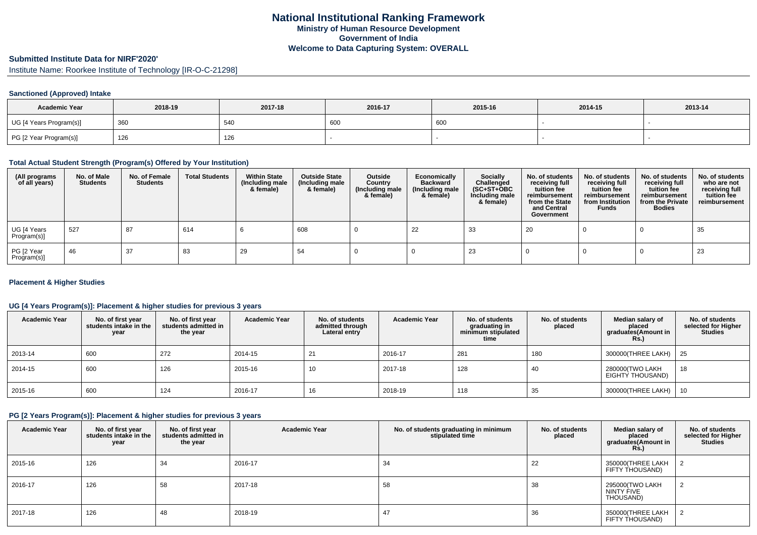#### **Submitted Institute Data for NIRF'2020'**

Institute Name: Roorkee Institute of Technology [IR-O-C-21298]

### **Sanctioned (Approved) Intake**

| <b>Academic Year</b>    | 2018-19 | 2017-18 | 2016-17 | 2015-16 | 2014-15 | 2013-14 |
|-------------------------|---------|---------|---------|---------|---------|---------|
| UG [4 Years Program(s)] | 360     | 540     | 600     | 600     |         |         |
| PG [2 Year Program(s)]  | 126     | 126     |         |         |         |         |

#### **Total Actual Student Strength (Program(s) Offered by Your Institution)**

| (All programs<br>of all years) | No. of Male<br><b>Students</b> | No. of Female<br><b>Students</b> | <b>Total Students</b> | <b>Within State</b><br>(Including male<br>& female) | <b>Outside State</b><br>(Including male<br>& female) | Outside<br>Country<br>(Including male<br>& female) | Economically<br><b>Backward</b><br>(Including male<br>& female) | <b>Socially</b><br>Challenged<br>$(SC+ST+OBC)$<br>Including male<br>& female) | No. of students<br>receiving full<br>tuition fee<br>reimbursement<br>from the State<br>and Central<br>Government | No. of students<br>receiving full<br>tuition fee<br>reimbursement<br>from Institution<br><b>Funds</b> | No. of students<br>receiving full<br>tuition fee<br>reimbursement<br>from the Private<br><b>Bodies</b> | No. of students<br>who are not<br>receiving full<br>tuition fee<br>reimbursement |
|--------------------------------|--------------------------------|----------------------------------|-----------------------|-----------------------------------------------------|------------------------------------------------------|----------------------------------------------------|-----------------------------------------------------------------|-------------------------------------------------------------------------------|------------------------------------------------------------------------------------------------------------------|-------------------------------------------------------------------------------------------------------|--------------------------------------------------------------------------------------------------------|----------------------------------------------------------------------------------|
| UG [4 Years<br>Program(s)]     | 527                            | 87                               | 614                   |                                                     | 608                                                  |                                                    | 22                                                              | 33                                                                            | 20                                                                                                               |                                                                                                       |                                                                                                        | 35                                                                               |
| PG [2 Year<br>Program(s)]      | 46                             | 37                               | 83                    | 29                                                  | 54                                                   |                                                    |                                                                 | 23                                                                            |                                                                                                                  |                                                                                                       |                                                                                                        | 23                                                                               |

### **Placement & Higher Studies**

### **UG [4 Years Program(s)]: Placement & higher studies for previous 3 years**

| <b>Academic Year</b> | No. of first year<br>students intake in the<br>year | No. of first year<br>students admitted in<br>the year | <b>Academic Year</b> | No. of students<br>admitted through<br>Lateral entry | <b>Academic Year</b> | No. of students<br>graduating in<br>minimum stipulated<br>time | No. of students<br>placed | Median salary of<br>placed<br>graduates(Amount in<br>Rs. | No. of students<br>selected for Higher<br><b>Studies</b> |
|----------------------|-----------------------------------------------------|-------------------------------------------------------|----------------------|------------------------------------------------------|----------------------|----------------------------------------------------------------|---------------------------|----------------------------------------------------------|----------------------------------------------------------|
| 2013-14              | 600                                                 | 272                                                   | 2014-15              | 21                                                   | 2016-17              | 281                                                            | 180                       | 300000(THREE LAKH)   25                                  |                                                          |
| 2014-15              | 600                                                 | 126                                                   | 2015-16              | 10                                                   | 2017-18              | 128                                                            | 40                        | 280000(TWO LAKH<br>EIGHTY THOUSAND)                      | 18                                                       |
| 2015-16              | 600                                                 | 124                                                   | 2016-17              | 16                                                   | 2018-19              | 118                                                            | 35                        | 300000(THREE LAKH)                                       | 10                                                       |

#### **PG [2 Years Program(s)]: Placement & higher studies for previous 3 years**

| <b>Academic Year</b> | No. of first year<br>students intake in the<br>year | No. of first year<br>students admitted in<br>the year | <b>Academic Year</b> | No. of students graduating in minimum<br>stipulated time | No. of students<br>placed | Median salary of<br>placed<br>graduates(Amount in<br><b>Rs.)</b> | No. of students<br>selected for Higher<br><b>Studies</b> |
|----------------------|-----------------------------------------------------|-------------------------------------------------------|----------------------|----------------------------------------------------------|---------------------------|------------------------------------------------------------------|----------------------------------------------------------|
| 2015-16              | 126                                                 | 34                                                    | 2016-17              | 34                                                       | 22                        | 350000(THREE LAKH<br>FIFTY THOUSAND)                             |                                                          |
| 2016-17              | 126                                                 | 58                                                    | 2017-18              | 58                                                       | 38                        | 295000(TWO LAKH<br>NINTY FIVE<br>THOUSAND)                       | $\Omega$                                                 |
| 2017-18              | 126                                                 | 48                                                    | 2018-19              | 47                                                       | 36                        | 350000(THREE LAKH<br>FIFTY THOUSAND)                             |                                                          |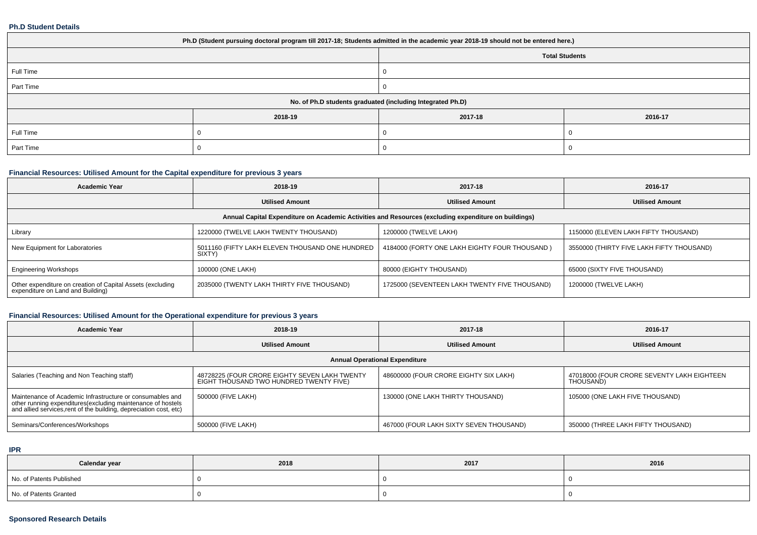#### **Ph.D Student Details**

| Ph.D (Student pursuing doctoral program till 2017-18; Students admitted in the academic year 2018-19 should not be entered here.) |         |                       |         |  |  |
|-----------------------------------------------------------------------------------------------------------------------------------|---------|-----------------------|---------|--|--|
|                                                                                                                                   |         | <b>Total Students</b> |         |  |  |
| Full Time                                                                                                                         |         |                       |         |  |  |
| Part Time                                                                                                                         |         |                       |         |  |  |
| No. of Ph.D students graduated (including Integrated Ph.D)                                                                        |         |                       |         |  |  |
|                                                                                                                                   | 2018-19 | 2017-18               | 2016-17 |  |  |
| Full Time                                                                                                                         |         |                       |         |  |  |
| Part Time                                                                                                                         |         |                       |         |  |  |

# **Financial Resources: Utilised Amount for the Capital expenditure for previous 3 years**

| <b>Academic Year</b>                                                                                 | 2018-19                                                   | 2017-18                                       | 2016-17                                   |  |  |  |
|------------------------------------------------------------------------------------------------------|-----------------------------------------------------------|-----------------------------------------------|-------------------------------------------|--|--|--|
|                                                                                                      | <b>Utilised Amount</b>                                    | <b>Utilised Amount</b>                        | <b>Utilised Amount</b>                    |  |  |  |
| Annual Capital Expenditure on Academic Activities and Resources (excluding expenditure on buildings) |                                                           |                                               |                                           |  |  |  |
| Library                                                                                              | 1220000 (TWELVE LAKH TWENTY THOUSAND)                     | 1200000 (TWELVE LAKH)                         | 1150000 (ELEVEN LAKH FIFTY THOUSAND)      |  |  |  |
| New Equipment for Laboratories                                                                       | 5011160 (FIFTY LAKH ELEVEN THOUSAND ONE HUNDRED<br>SIXTY) | 4184000 (FORTY ONE LAKH EIGHTY FOUR THOUSAND) | 3550000 (THIRTY FIVE LAKH FIFTY THOUSAND) |  |  |  |
| <b>Engineering Workshops</b>                                                                         | 100000 (ONE LAKH)                                         | 80000 (EIGHTY THOUSAND)                       | 65000 (SIXTY FIVE THOUSAND)               |  |  |  |
| Other expenditure on creation of Capital Assets (excluding<br>expenditure on Land and Building)      | 2035000 (TWENTY LAKH THIRTY FIVE THOUSAND)                | 1725000 (SEVENTEEN LAKH TWENTY FIVE THOUSAND) | 1200000 (TWELVE LAKH)                     |  |  |  |

# **Financial Resources: Utilised Amount for the Operational expenditure for previous 3 years**

| <b>Academic Year</b>                                                                                                                                                                            | 2018-19                                                                                  | 2017-18                                 | 2016-17                                                 |  |  |  |
|-------------------------------------------------------------------------------------------------------------------------------------------------------------------------------------------------|------------------------------------------------------------------------------------------|-----------------------------------------|---------------------------------------------------------|--|--|--|
|                                                                                                                                                                                                 | <b>Utilised Amount</b>                                                                   | <b>Utilised Amount</b>                  | <b>Utilised Amount</b>                                  |  |  |  |
| <b>Annual Operational Expenditure</b>                                                                                                                                                           |                                                                                          |                                         |                                                         |  |  |  |
| Salaries (Teaching and Non Teaching staff)                                                                                                                                                      | 48728225 (FOUR CRORE EIGHTY SEVEN LAKH TWENTY<br>EIGHT THOUSAND TWO HUNDRED TWENTY FIVE) | 48600000 (FOUR CRORE EIGHTY SIX LAKH)   | 47018000 (FOUR CRORE SEVENTY LAKH EIGHTEEN<br>THOUSAND) |  |  |  |
| Maintenance of Academic Infrastructure or consumables and<br>other running expenditures (excluding maintenance of hostels<br>and allied services, rent of the building, depreciation cost, etc) | 500000 (FIVE LAKH)                                                                       | 130000 (ONE LAKH THIRTY THOUSAND)       | 105000 (ONE LAKH FIVE THOUSAND)                         |  |  |  |
| Seminars/Conferences/Workshops                                                                                                                                                                  | 500000 (FIVE LAKH)                                                                       | 467000 (FOUR LAKH SIXTY SEVEN THOUSAND) | 350000 (THREE LAKH FIFTY THOUSAND)                      |  |  |  |

#### **IPR**

| Calendar year            | 2018 | 2017 | 2016 |
|--------------------------|------|------|------|
| No. of Patents Published |      |      |      |
| No. of Patents Granted   |      |      |      |

### **Sponsored Research Details**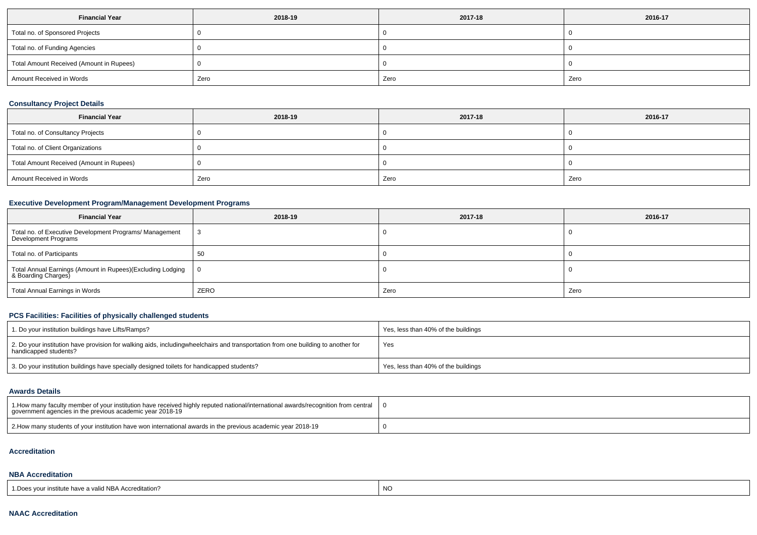| <b>Financial Year</b>                    | 2018-19 | 2017-18 | 2016-17 |
|------------------------------------------|---------|---------|---------|
| Total no. of Sponsored Projects          |         |         |         |
| Total no. of Funding Agencies            |         |         |         |
| Total Amount Received (Amount in Rupees) |         |         |         |
| Amount Received in Words                 | Zero    | Zero    | Zero    |

# **Consultancy Project Details**

| <b>Financial Year</b>                    | 2018-19 | 2017-18 | 2016-17 |
|------------------------------------------|---------|---------|---------|
| Total no. of Consultancy Projects        |         |         |         |
| Total no. of Client Organizations        |         |         |         |
| Total Amount Received (Amount in Rupees) |         |         |         |
| Amount Received in Words                 | Zero    | Zero    | Zero    |

### **Executive Development Program/Management Development Programs**

| <b>Financial Year</b>                                                             | 2018-19        | 2017-18 | 2016-17 |
|-----------------------------------------------------------------------------------|----------------|---------|---------|
| Total no. of Executive Development Programs/ Management<br>Development Programs   | -3             |         |         |
| Total no. of Participants                                                         | 50             |         |         |
| Total Annual Earnings (Amount in Rupees)(Excluding Lodging<br>& Boarding Charges) | $\overline{0}$ |         |         |
| Total Annual Earnings in Words                                                    | ZERO           | Zero    | Zero    |

# **PCS Facilities: Facilities of physically challenged students**

| 1. Do your institution buildings have Lifts/Ramps?                                                                                                        | Yes, less than 40% of the buildings |
|-----------------------------------------------------------------------------------------------------------------------------------------------------------|-------------------------------------|
| 2. Do your institution have provision for walking aids, includingwheelchairs and transportation from one building to another for<br>handicapped students? | Yes                                 |
| 3. Do your institution buildings have specially designed toilets for handicapped students?                                                                | Yes, less than 40% of the buildings |

### **Awards Details**

| 1. Abow many faculty member of your institution have received highly reputed national/international awards/recognition from central<br>government agencies in the previous academic year 2018-19 |  |
|--------------------------------------------------------------------------------------------------------------------------------------------------------------------------------------------------|--|
| 2. How many students of your institution have won international awards in the previous academic year 2018-19                                                                                     |  |

#### **Accreditation**

### **NBA Accreditation**

| 1. Does vour institute have a valid NBA Accreditation? |  |
|--------------------------------------------------------|--|
|--------------------------------------------------------|--|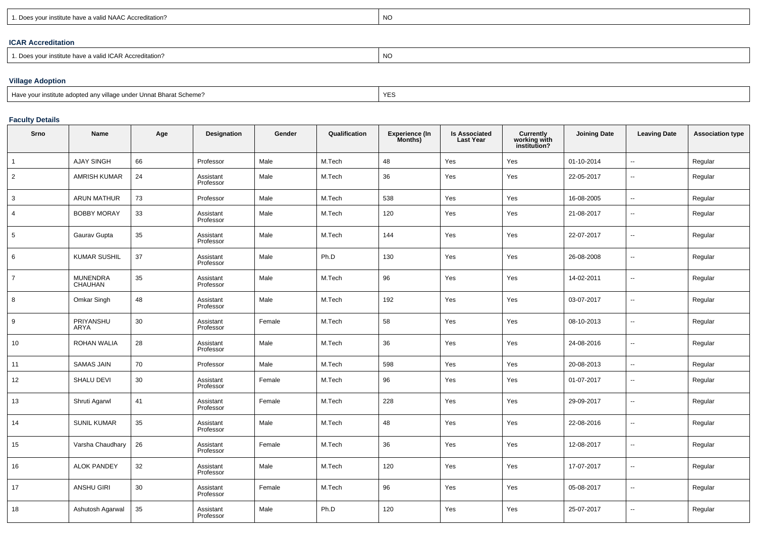| nstitute have a valid NAAC Accreditation?<br>$\Gamma$<br>100115 | <b>NO</b> |
|-----------------------------------------------------------------|-----------|
|                                                                 |           |

# **ICAR Accreditation**

| 1. Does your institute have a valid ICAR Accreditation? | NO |
|---------------------------------------------------------|----|
|---------------------------------------------------------|----|

# **Village Adoption**

| Have your institute adopted any village under Unnat Bharat Scheme? | YE. |
|--------------------------------------------------------------------|-----|
|                                                                    |     |

### **Faculty Details**

| Srno           | Name                       | Age | Designation            | Gender | Qualification | <b>Experience (In</b><br>Months) | <b>Is Associated</b><br><b>Last Year</b> | Currently<br>working with<br>institution? | <b>Joining Date</b> | <b>Leaving Date</b>      | <b>Association type</b> |
|----------------|----------------------------|-----|------------------------|--------|---------------|----------------------------------|------------------------------------------|-------------------------------------------|---------------------|--------------------------|-------------------------|
| $\mathbf{1}$   | <b>AJAY SINGH</b>          | 66  | Professor              | Male   | M.Tech        | 48                               | Yes                                      | Yes                                       | 01-10-2014          | $\overline{\phantom{a}}$ | Regular                 |
| $\overline{2}$ | <b>AMRISH KUMAR</b>        | 24  | Assistant<br>Professor | Male   | M.Tech        | 36                               | Yes                                      | Yes                                       | 22-05-2017          | $\sim$                   | Regular                 |
| 3              | ARUN MATHUR                | 73  | Professor              | Male   | M.Tech        | 538                              | Yes                                      | Yes                                       | 16-08-2005          | $\overline{\phantom{a}}$ | Regular                 |
| $\overline{4}$ | <b>BOBBY MORAY</b>         | 33  | Assistant<br>Professor | Male   | M.Tech        | 120                              | Yes                                      | Yes                                       | 21-08-2017          | $\sim$                   | Regular                 |
| 5              | Gaurav Gupta               | 35  | Assistant<br>Professor | Male   | M.Tech        | 144                              | Yes                                      | Yes                                       | 22-07-2017          | $\sim$                   | Regular                 |
| 6              | <b>KUMAR SUSHIL</b>        | 37  | Assistant<br>Professor | Male   | Ph.D          | 130                              | Yes                                      | Yes                                       | 26-08-2008          | $\overline{\phantom{a}}$ | Regular                 |
| $\overline{7}$ | <b>MUNENDRA</b><br>CHAUHAN | 35  | Assistant<br>Professor | Male   | M.Tech        | 96                               | Yes                                      | Yes                                       | 14-02-2011          | $\sim$                   | Regular                 |
| 8              | Omkar Singh                | 48  | Assistant<br>Professor | Male   | M.Tech        | 192                              | Yes                                      | Yes                                       | 03-07-2017          | $\overline{\phantom{a}}$ | Regular                 |
| 9              | PRIYANSHU<br><b>ARYA</b>   | 30  | Assistant<br>Professor | Female | M.Tech        | 58                               | Yes                                      | Yes                                       | 08-10-2013          | $\sim$                   | Regular                 |
| 10             | <b>ROHAN WALIA</b>         | 28  | Assistant<br>Professor | Male   | M.Tech        | 36                               | Yes                                      | Yes                                       | 24-08-2016          | $\sim$                   | Regular                 |
| 11             | <b>SAMAS JAIN</b>          | 70  | Professor              | Male   | M.Tech        | 598                              | Yes                                      | Yes                                       | 20-08-2013          | $\overline{\phantom{a}}$ | Regular                 |
| 12             | <b>SHALU DEVI</b>          | 30  | Assistant<br>Professor | Female | M.Tech        | 96                               | Yes                                      | Yes                                       | 01-07-2017          | $\overline{a}$           | Regular                 |
| 13             | Shruti Agarwl              | 41  | Assistant<br>Professor | Female | M.Tech        | 228                              | Yes                                      | Yes                                       | 29-09-2017          | $\sim$                   | Regular                 |
| 14             | <b>SUNIL KUMAR</b>         | 35  | Assistant<br>Professor | Male   | M.Tech        | 48                               | Yes                                      | Yes                                       | 22-08-2016          | $\sim$                   | Regular                 |
| 15             | Varsha Chaudhary           | 26  | Assistant<br>Professor | Female | M.Tech        | 36                               | Yes                                      | Yes                                       | 12-08-2017          | $\sim$                   | Regular                 |
| 16             | <b>ALOK PANDEY</b>         | 32  | Assistant<br>Professor | Male   | M.Tech        | 120                              | Yes                                      | Yes                                       | 17-07-2017          | $\overline{\phantom{a}}$ | Regular                 |
| 17             | ANSHU GIRI                 | 30  | Assistant<br>Professor | Female | M.Tech        | 96                               | Yes                                      | Yes                                       | 05-08-2017          | --                       | Regular                 |
| 18             | Ashutosh Agarwal           | 35  | Assistant<br>Professor | Male   | Ph.D          | 120                              | Yes                                      | Yes                                       | 25-07-2017          | $\sim$                   | Regular                 |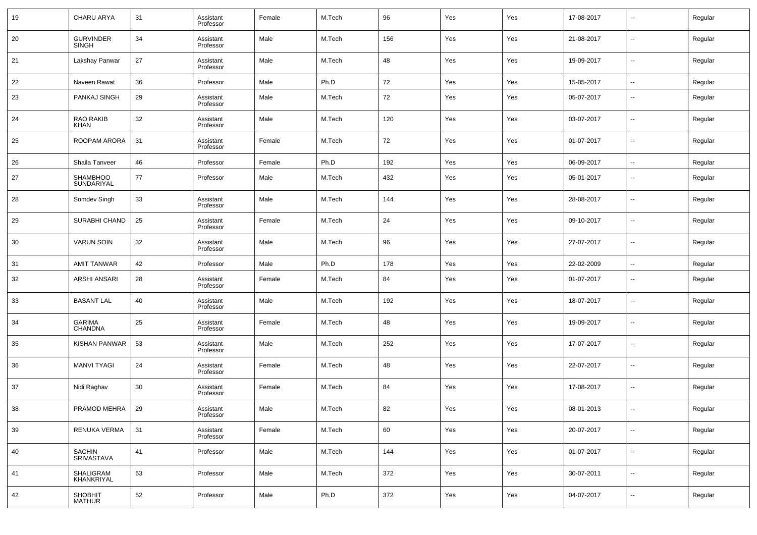| 19 | <b>CHARU ARYA</b>                | 31 | Assistant<br>Professor | Female | M.Tech | 96  | Yes | Yes | 17-08-2017 | $\overline{\phantom{a}}$ | Regular |
|----|----------------------------------|----|------------------------|--------|--------|-----|-----|-----|------------|--------------------------|---------|
| 20 | <b>GURVINDER</b><br><b>SINGH</b> | 34 | Assistant<br>Professor | Male   | M.Tech | 156 | Yes | Yes | 21-08-2017 | $\overline{\phantom{a}}$ | Regular |
| 21 | Lakshay Panwar                   | 27 | Assistant<br>Professor | Male   | M.Tech | 48  | Yes | Yes | 19-09-2017 | $\overline{\phantom{a}}$ | Regular |
| 22 | Naveen Rawat                     | 36 | Professor              | Male   | Ph.D   | 72  | Yes | Yes | 15-05-2017 | $\overline{\phantom{a}}$ | Regular |
| 23 | PANKAJ SINGH                     | 29 | Assistant<br>Professor | Male   | M.Tech | 72  | Yes | Yes | 05-07-2017 | $\overline{\phantom{a}}$ | Regular |
| 24 | RAO RAKIB<br><b>KHAN</b>         | 32 | Assistant<br>Professor | Male   | M.Tech | 120 | Yes | Yes | 03-07-2017 | $\overline{\phantom{a}}$ | Regular |
| 25 | ROOPAM ARORA                     | 31 | Assistant<br>Professor | Female | M.Tech | 72  | Yes | Yes | 01-07-2017 | $\overline{\phantom{a}}$ | Regular |
| 26 | Shaila Tanveer                   | 46 | Professor              | Female | Ph.D   | 192 | Yes | Yes | 06-09-2017 | $\overline{\phantom{a}}$ | Regular |
| 27 | <b>SHAMBHOO</b><br>SUNDARIYAL    | 77 | Professor              | Male   | M.Tech | 432 | Yes | Yes | 05-01-2017 | $\sim$                   | Regular |
| 28 | Somdev Singh                     | 33 | Assistant<br>Professor | Male   | M.Tech | 144 | Yes | Yes | 28-08-2017 | $\overline{\phantom{a}}$ | Regular |
| 29 | SURABHI CHAND                    | 25 | Assistant<br>Professor | Female | M.Tech | 24  | Yes | Yes | 09-10-2017 | $\overline{\phantom{a}}$ | Regular |
| 30 | <b>VARUN SOIN</b>                | 32 | Assistant<br>Professor | Male   | M.Tech | 96  | Yes | Yes | 27-07-2017 | $\overline{\phantom{a}}$ | Regular |
| 31 | <b>AMIT TANWAR</b>               | 42 | Professor              | Male   | Ph.D   | 178 | Yes | Yes | 22-02-2009 | $\overline{\phantom{a}}$ | Regular |
| 32 | ARSHI ANSARI                     | 28 | Assistant<br>Professor | Female | M.Tech | 84  | Yes | Yes | 01-07-2017 | $\overline{\phantom{a}}$ | Regular |
| 33 | <b>BASANT LAL</b>                | 40 | Assistant<br>Professor | Male   | M.Tech | 192 | Yes | Yes | 18-07-2017 | $\overline{\phantom{a}}$ | Regular |
| 34 | <b>GARIMA</b><br><b>CHANDNA</b>  | 25 | Assistant<br>Professor | Female | M.Tech | 48  | Yes | Yes | 19-09-2017 | $\overline{\phantom{a}}$ | Regular |
| 35 | KISHAN PANWAR                    | 53 | Assistant<br>Professor | Male   | M.Tech | 252 | Yes | Yes | 17-07-2017 | $\overline{\phantom{a}}$ | Regular |
| 36 | <b>MANVI TYAGI</b>               | 24 | Assistant<br>Professor | Female | M.Tech | 48  | Yes | Yes | 22-07-2017 | $\overline{\phantom{a}}$ | Regular |
| 37 | Nidi Raghav                      | 30 | Assistant<br>Professor | Female | M.Tech | 84  | Yes | Yes | 17-08-2017 | $\overline{\phantom{a}}$ | Regular |
| 38 | PRAMOD MEHRA                     | 29 | Assistant<br>Professor | Male   | M.Tech | 82  | Yes | Yes | 08-01-2013 | $\overline{\phantom{a}}$ | Regular |
| 39 | RENUKA VERMA                     | 31 | Assistant<br>Professor | Female | M.Tech | 60  | Yes | Yes | 20-07-2017 | $\overline{\phantom{a}}$ | Regular |
| 40 | <b>SACHIN</b><br>SRIVASTAVA      | 41 | Professor              | Male   | M.Tech | 144 | Yes | Yes | 01-07-2017 | $\overline{\phantom{a}}$ | Regular |
| 41 | SHALIGRAM<br>KHANKRIYAL          | 63 | Professor              | Male   | M.Tech | 372 | Yes | Yes | 30-07-2011 | $\overline{\phantom{a}}$ | Regular |
| 42 | SHOBHIT<br>MATHUR                | 52 | Professor              | Male   | Ph.D   | 372 | Yes | Yes | 04-07-2017 | $\overline{\phantom{a}}$ | Regular |